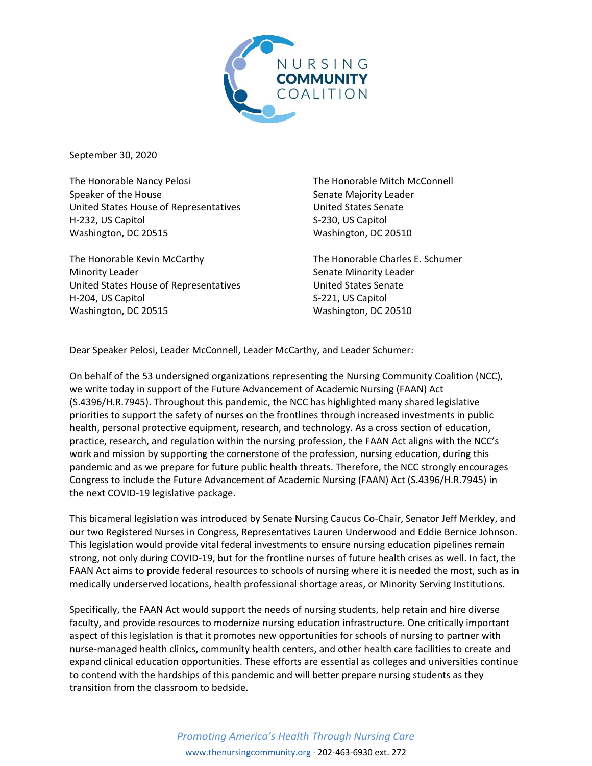

September 30, 2020

The Honorable Nancy Pelosi Speaker of the House United States House of Representatives H-232, US Capitol Washington, DC 20515

The Honorable Kevin McCarthy Minority Leader United States House of Representatives H-204, US Capitol Washington, DC 20515

The Honorable Mitch McConnell Senate Majority Leader United States Senate S-230, US Capitol Washington, DC 20510

The Honorable Charles E. Schumer Senate Minority Leader United States Senate S-221, US Capitol Washington, DC 20510

Dear Speaker Pelosi, Leader McConnell, Leader McCarthy, and Leader Schumer:

On behalf of the 53 undersigned organizations representing the Nursing Community Coalition (NCC), we write today in support of the Future Advancement of Academic Nursing (FAAN) Act (S.4396/H.R.7945). Throughout this pandemic, the NCC has highlighted many shared legislative priorities to support the safety of nurses on the frontlines through increased investments in public health, personal protective equipment, research, and technology. As a cross section of education, practice, research, and regulation within the nursing profession, the FAAN Act aligns with the NCC's work and mission by supporting the cornerstone of the profession, nursing education, during this pandemic and as we prepare for future public health threats. Therefore, the NCC strongly encourages Congress to include the Future Advancement of Academic Nursing (FAAN) Act (S.4396/H.R.7945) in the next COVID-19 legislative package.

This bicameral legislation was introduced by Senate Nursing Caucus Co-Chair, Senator Jeff Merkley, and our two Registered Nurses in Congress, Representatives Lauren Underwood and Eddie Bernice Johnson. This legislation would provide vital federal investments to ensure nursing education pipelines remain strong, not only during COVID-19, but for the frontline nurses of future health crises as well. In fact, the FAAN Act aims to provide federal resources to schools of nursing where it is needed the most, such as in medically underserved locations, health professional shortage areas, or Minority Serving Institutions.

Specifically, the FAAN Act would support the needs of nursing students, help retain and hire diverse faculty, and provide resources to modernize nursing education infrastructure. One critically important aspect of this legislation is that it promotes new opportunities for schools of nursing to partner with nurse-managed health clinics, community health centers, and other health care facilities to create and expand clinical education opportunities. These efforts are essential as colleges and universities continue to contend with the hardships of this pandemic and will better prepare nursing students as they transition from the classroom to bedside.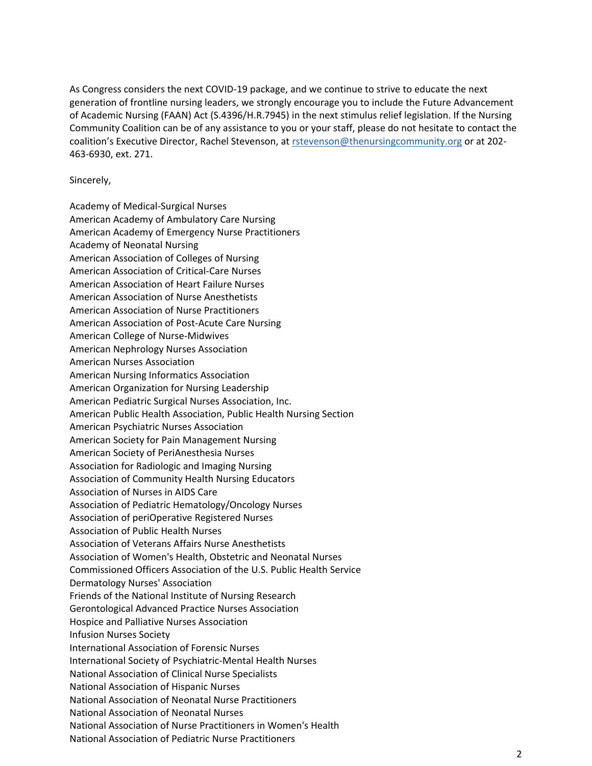As Congress considers the next COVID-19 package, and we continue to strive to educate the next generation of frontline nursing leaders, we strongly encourage you to include the Future Advancement of Academic Nursing (FAAN) Act (S.4396/H.R.7945) in the next stimulus relief legislation. If the Nursing Community Coalition can be of any assistance to you or your staff, please do not hesitate to contact the coalition's Executive Director, Rachel Stevenson, at [rstevenson@thenursingcommunity.org](mailto:rstevenson@thenursingcommunity.org) or at 202-463-6930, ext. 271.

## Sincerely,

Academy of Medical-Surgical Nurses American Academy of Ambulatory Care Nursing American Academy of Emergency Nurse Practitioners Academy of Neonatal Nursing American Association of Colleges of Nursing American Association of Critical-Care Nurses American Association of Heart Failure Nurses American Association of Nurse Anesthetists American Association of Nurse Practitioners American Association of Post-Acute Care Nursing American College of Nurse-Midwives American Nephrology Nurses Association American Nurses Association American Nursing Informatics Association American Organization for Nursing Leadership American Pediatric Surgical Nurses Association, Inc. American Public Health Association, Public Health Nursing Section American Psychiatric Nurses Association American Society for Pain Management Nursing American Society of PeriAnesthesia Nurses Association for Radiologic and Imaging Nursing Association of Community Health Nursing Educators Association of Nurses in AIDS Care Association of Pediatric Hematology/Oncology Nurses Association of periOperative Registered Nurses Association of Public Health Nurses Association of Veterans Affairs Nurse Anesthetists Association of Women's Health, Obstetric and Neonatal Nurses Commissioned Officers Association of the U.S. Public Health Service Dermatology Nurses' Association Friends of the National Institute of Nursing Research Gerontological Advanced Practice Nurses Association Hospice and Palliative Nurses Association Infusion Nurses Society International Association of Forensic Nurses International Society of Psychiatric-Mental Health Nurses National Association of Clinical Nurse Specialists National Association of Hispanic Nurses National Association of Neonatal Nurse Practitioners National Association of Neonatal Nurses National Association of Nurse Practitioners in Women's Health National Association of Pediatric Nurse Practitioners